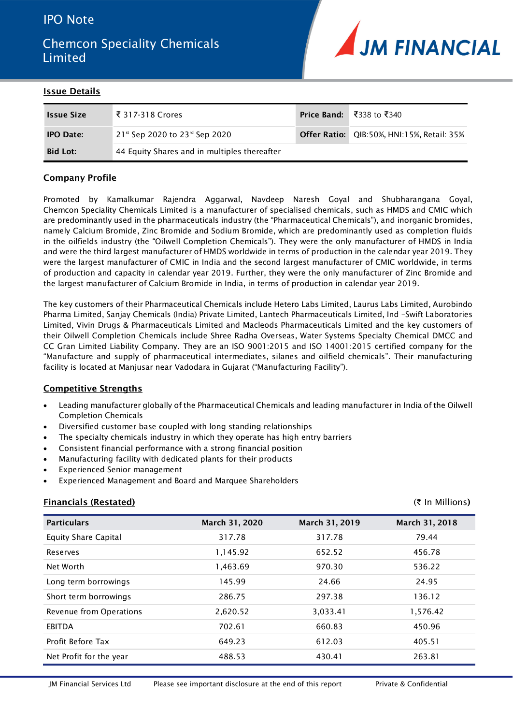## IPO Note

# Chemcon Speciality Chemicals Limited



#### **Issue Details**

| <b>Issue Size</b> | ₹ 317-318 Crores                                         | Price Band: ₹338 to ₹340                          |
|-------------------|----------------------------------------------------------|---------------------------------------------------|
| <b>IPO Date:</b>  | $21$ <sup>st</sup> Sep 2020 to 23 <sup>rd</sup> Sep 2020 | <b>Offer Ratio:</b> QIB:50%, HNI:15%, Retail: 35% |
| <b>Bid Lot:</b>   | 44 Equity Shares and in multiples thereafter             |                                                   |

#### **Company Profile**

Promoted by Kamalkumar Rajendra Aggarwal, Navdeep Naresh Goyal and Shubharangana Goyal, Chemcon Speciality Chemicals Limited is a manufacturer of specialised chemicals, such as HMDS and CMIC which are predominantly used in the pharmaceuticals industry (the "Pharmaceutical Chemicals"), and inorganic bromides, namely Calcium Bromide, Zinc Bromide and Sodium Bromide, which are predominantly used as completion fluids in the oilfields industry (the "Oilwell Completion Chemicals"). They were the only manufacturer of HMDS in India and were the third largest manufacturer of HMDS worldwide in terms of production in the calendar year 2019. They were the largest manufacturer of CMIC in India and the second largest manufacturer of CMIC worldwide, in terms of production and capacity in calendar year 2019. Further, they were the only manufacturer of Zinc Bromide and the largest manufacturer of Calcium Bromide in India, in terms of production in calendar year 2019.

The key customers of their Pharmaceutical Chemicals include Hetero Labs Limited, Laurus Labs Limited, Aurobindo Pharma Limited, Sanjay Chemicals (India) Private Limited, Lantech Pharmaceuticals Limited, Ind –Swift Laboratories Limited, Vivin Drugs & Pharmaceuticals Limited and Macleods Pharmaceuticals Limited and the key customers of their Oilwell Completion Chemicals include Shree Radha Overseas, Water Systems Specialty Chemical DMCC and CC Gran Limited Liability Company. They are an ISO 9001:2015 and ISO 14001:2015 certified company for the "Manufacture and supply of pharmaceutical intermediates, silanes and oilfield chemicals". Their manufacturing facility is located at Manjusar near Vadodara in Gujarat ("Manufacturing Facility").

#### **Competitive Strengths**

- Leading manufacturer globally of the Pharmaceutical Chemicals and leading manufacturer in India of the Oilwell Completion Chemicals
- Diversified customer base coupled with long standing relationships
- The specialty chemicals industry in which they operate has high entry barriers
- Consistent financial performance with a strong financial position
- Manufacturing facility with dedicated plants for their products
- Experienced Senior management
- Experienced Management and Board and Marquee Shareholders

#### **Financials (Restated)** (₹ In Millions**)**

| <b>Particulars</b>          | March 31, 2020 | March 31, 2019 | March 31, 2018 |
|-----------------------------|----------------|----------------|----------------|
| <b>Equity Share Capital</b> | 317.78         | 317.78         | 79.44          |
| Reserves                    | 1,145.92       | 652.52         | 456.78         |
| Net Worth                   | 1,463.69       | 970.30         | 536.22         |
| Long term borrowings        | 145.99         | 24.66          | 24.95          |
| Short term borrowings       | 286.75         | 297.38         | 136.12         |
| Revenue from Operations     | 2,620.52       | 3,033.41       | 1,576.42       |
| <b>EBITDA</b>               | 702.61         | 660.83         | 450.96         |
| Profit Before Tax           | 649.23         | 612.03         | 405.51         |
| Net Profit for the year     | 488.53         | 430.41         | 263.81         |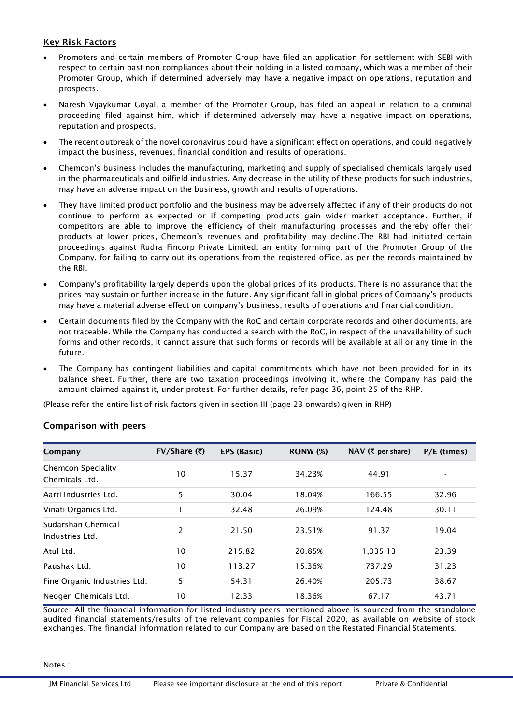## **Key Risk Factors**

- Promoters and certain members of Promoter Group have filed an application for settlement with SEBI with respect to certain past non compliances about their holding in a listed company, which was a member of their Promoter Group, which if determined adversely may have a negative impact on operations, reputation and prospects.
- Naresh Vijaykumar Goyal, a member of the Promoter Group, has filed an appeal in relation to a criminal proceeding filed against him, which if determined adversely may have a negative impact on operations, reputation and prospects.
- The recent outbreak of the novel coronavirus could have a significant effect on operations, and could negatively impact the business, revenues, financial condition and results of operations.
- Chemcon's business includes the manufacturing, marketing and supply of specialised chemicals largely used in the pharmaceuticals and oilfield industries. Any decrease in the utility of these products for such industries, may have an adverse impact on the business, growth and results of operations.
- They have limited product portfolio and the business may be adversely affected if any of their products do not continue to perform as expected or if competing products gain wider market acceptance. Further, if competitors are able to improve the efficiency of their manufacturing processes and thereby offer their products at lower prices, Chemcon's revenues and profitability may decline.The RBI had initiated certain proceedings against Rudra Fincorp Private Limited, an entity forming part of the Promoter Group of the Company, for failing to carry out its operations from the registered office, as per the records maintained by the RBI.
- Company's profitability largely depends upon the global prices of its products. There is no assurance that the prices may sustain or further increase in the future. Any significant fall in global prices of Company's products may have a material adverse effect on company's business, results of operations and financial condition.
- Certain documents filed by the Company with the RoC and certain corporate records and other documents, are not traceable. While the Company has conducted a search with the RoC, in respect of the unavailability of such forms and other records, it cannot assure that such forms or records will be available at all or any time in the future.
- The Company has contingent liabilities and capital commitments which have not been provided for in its balance sheet. Further, there are two taxation proceedings involving it, where the Company has paid the amount claimed against it, under protest. For further details, refer page 36, point 25 of the RHP.

(Please refer the entire list of risk factors given in section III (page 23 onwards) given in RHP)

| Company                                     | $FV/Sh$ are (₹) | EPS (Basic) | <b>RONW (%)</b> | NAV (₹ per share) | P/E (times)              |
|---------------------------------------------|-----------------|-------------|-----------------|-------------------|--------------------------|
| <b>Chemcon Speciality</b><br>Chemicals Ltd. | 10              | 15.37       | 34.23%          | 44.91             | $\overline{\phantom{0}}$ |
| Aarti Industries Ltd.                       | 5               | 30.04       | 18.04%          | 166.55            | 32.96                    |
| Vinati Organics Ltd.                        |                 | 32.48       | 26.09%          | 124.48            | 30.11                    |
| Sudarshan Chemical<br>Industries Ltd.       | 2               | 21.50       | 23.51%          | 91.37             | 19.04                    |
| Atul Ltd.                                   | 10              | 215.82      | 20.85%          | 1,035.13          | 23.39                    |
| Paushak Ltd.                                | 10              | 113.27      | 15.36%          | 737.29            | 31.23                    |
| Fine Organic Industries Ltd.                | 5               | 54.31       | 26.40%          | 205.73            | 38.67                    |
| Neogen Chemicals Ltd.                       | 10              | 12.33       | 18.36%          | 67.17             | 43.71                    |

## **Comparison with peers**

Source: All the financial information for listed industry peers mentioned above is sourced from the standalone audited financial statements/results of the relevant companies for Fiscal 2020, as available on website of stock exchanges. The financial information related to our Company are based on the Restated Financial Statements.

Notes :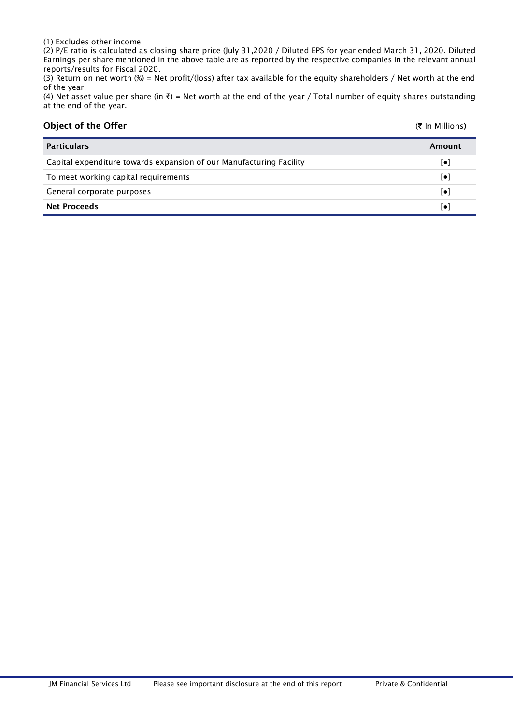#### (1) Excludes other income

(2) P/E ratio is calculated as closing share price (July 31,2020 / Diluted EPS for year ended March 31, 2020. Diluted Earnings per share mentioned in the above table are as reported by the respective companies in the relevant annual reports/results for Fiscal 2020.

(3) Return on net worth (%) = Net profit/(loss) after tax available for the equity shareholders / Net worth at the end of the year.

(4) Net asset value per share (in ₹) = Net worth at the end of the year / Total number of equity shares outstanding at the end of the year.

| <b>Object of the Offer</b>                                          | (₹ In Millions)        |
|---------------------------------------------------------------------|------------------------|
| <b>Particulars</b>                                                  | Amount                 |
| Capital expenditure towards expansion of our Manufacturing Facility | $\left[\bullet\right]$ |
| To meet working capital requirements                                | $\left[\bullet\right]$ |
| General corporate purposes                                          | $\left[\bullet\right]$ |
| <b>Net Proceeds</b>                                                 | $\left[\bullet\right]$ |